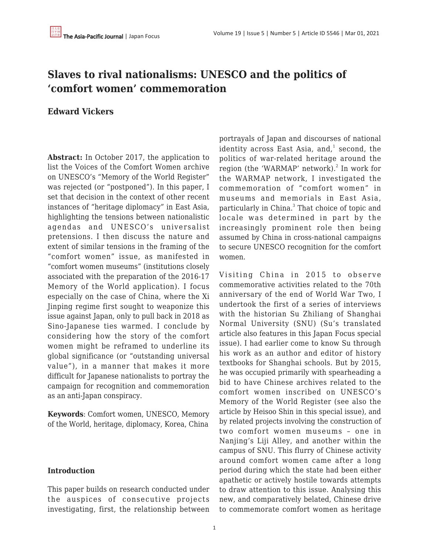## **Slaves to rival nationalisms: UNESCO and the politics of 'comfort women' commemoration**

## **Edward Vickers**

**Abstract:** In October 2017, the application to list the Voices of the Comfort Women archive on UNESCO's "Memory of the World Register" was rejected (or "postponed"). In this paper, I set that decision in the context of other recent instances of "heritage diplomacy" in East Asia, highlighting the tensions between nationalistic agendas and UNESCO's universalist pretensions. I then discuss the nature and extent of similar tensions in the framing of the "comfort women" issue, as manifested in "comfort women museums" (institutions closely associated with the preparation of the 2016-17 Memory of the World application). I focus especially on the case of China, where the Xi Jinping regime first sought to weaponize this issue against Japan, only to pull back in 2018 as Sino-Japanese ties warmed. I conclude by considering how the story of the comfort women might be reframed to underline its global significance (or "outstanding universal value"), in a manner that makes it more difficult for Japanese nationalists to portray the campaign for recognition and commemoration as an anti-Japan conspiracy.

**Keywords**: Comfort women, UNESCO, Memory of the World, heritage, diplomacy, Korea, China

## **Introduction**

This paper builds on research conducted under the auspices of consecutive projects investigating, first, the relationship between portrayals of Japan and discourses of national identity across East Asia, and, $^{\rm 1}$  second, the politics of war-related heritage around the region (the 'WARMAP' network).<sup>2</sup> In work for the WARMAP network, I investigated the commemoration of "comfort women" in museums and memorials in East Asia, particularly in China.<sup>3</sup> That choice of topic and locale was determined in part by the increasingly prominent role then being assumed by China in cross-national campaigns to secure UNESCO recognition for the comfort women.

Visiting China in 2015 to observe commemorative activities related to the 70th anniversary of the end of World War Two, I undertook the first of a series of interviews with the historian Su Zhiliang of Shanghai Normal University (SNU) (Su's translated article also features in this Japan Focus special issue). I had earlier come to know Su through his work as an author and editor of history textbooks for Shanghai schools. But by 2015, he was occupied primarily with spearheading a bid to have Chinese archives related to the comfort women inscribed on UNESCO's Memory of the World Register (see also the article by Heisoo Shin in this special issue), and by related projects involving the construction of two comfort women museums – one in Nanjing's Liji Alley, and another within the campus of SNU. This flurry of Chinese activity around comfort women came after a long period during which the state had been either apathetic or actively hostile towards attempts to draw attention to this issue. Analysing this new, and comparatively belated, Chinese drive to commemorate comfort women as heritage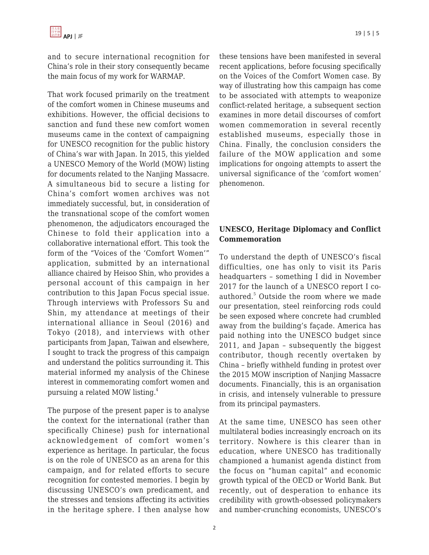and to secure international recognition for China's role in their story consequently became the main focus of my work for WARMAP.

That work focused primarily on the treatment of the comfort women in Chinese museums and exhibitions. However, the official decisions to sanction and fund these new comfort women museums came in the context of campaigning for UNESCO recognition for the public history of China's war with Japan. In 2015, this yielded a UNESCO Memory of the World (MOW) listing for documents related to the Nanjing Massacre. A simultaneous bid to secure a listing for China's comfort women archives was not immediately successful, but, in consideration of the transnational scope of the comfort women phenomenon, the adjudicators encouraged the Chinese to fold their application into a collaborative international effort. This took the form of the "Voices of the 'Comfort Women'" application, submitted by an international alliance chaired by Heisoo Shin, who provides a personal account of this campaign in her contribution to this Japan Focus special issue. Through interviews with Professors Su and Shin, my attendance at meetings of their international alliance in Seoul (2016) and Tokyo (2018), and interviews with other participants from Japan, Taiwan and elsewhere, I sought to track the progress of this campaign and understand the politics surrounding it. This material informed my analysis of the Chinese interest in commemorating comfort women and pursuing a related MOW listing.<sup>4</sup>

The purpose of the present paper is to analyse the context for the international (rather than specifically Chinese) push for international acknowledgement of comfort women's experience as heritage. In particular, the focus is on the role of UNESCO as an arena for this campaign, and for related efforts to secure recognition for contested memories. I begin by discussing UNESCO's own predicament, and the stresses and tensions affecting its activities in the heritage sphere. I then analyse how these tensions have been manifested in several recent applications, before focusing specifically on the Voices of the Comfort Women case. By way of illustrating how this campaign has come to be associated with attempts to weaponize conflict-related heritage, a subsequent section examines in more detail discourses of comfort women commemoration in several recently established museums, especially those in China. Finally, the conclusion considers the failure of the MOW application and some implications for ongoing attempts to assert the universal significance of the 'comfort women' phenomenon.

## **UNESCO, Heritage Diplomacy and Conflict Commemoration**

To understand the depth of UNESCO's fiscal difficulties, one has only to visit its Paris headquarters – something I did in November 2017 for the launch of a UNESCO report I coauthored.<sup>5</sup> Outside the room where we made our presentation, steel reinforcing rods could be seen exposed where concrete had crumbled away from the building's façade. America has paid nothing into the UNESCO budget since 2011, and Japan – subsequently the biggest contributor, though recently overtaken by China – briefly withheld funding in protest over the 2015 MOW inscription of Nanjing Massacre documents. Financially, this is an organisation in crisis, and intensely vulnerable to pressure from its principal paymasters.

At the same time, UNESCO has seen other multilateral bodies increasingly encroach on its territory. Nowhere is this clearer than in education, where UNESCO has traditionally championed a humanist agenda distinct from the focus on "human capital" and economic growth typical of the OECD or World Bank. But recently, out of desperation to enhance its credibility with growth-obsessed policymakers and number-crunching economists, UNESCO's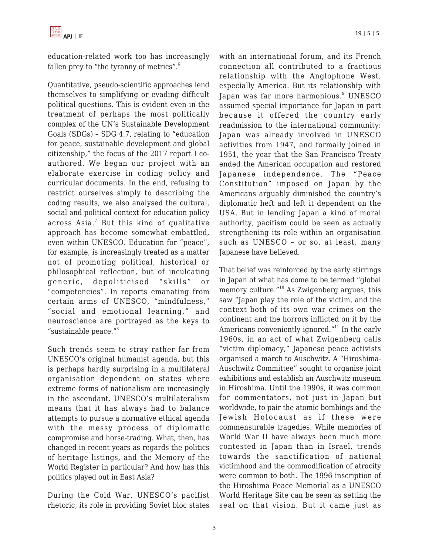

education-related work too has increasingly fallen prey to "the tyranny of metrics".<sup>6</sup>

Quantitative, pseudo-scientific approaches lend themselves to simplifying or evading difficult political questions. This is evident even in the treatment of perhaps the most politically complex of the UN's Sustainable Development Goals (SDGs) – SDG 4.7, relating to "education for peace, sustainable development and global citizenship," the focus of the 2017 report I coauthored. We began our project with an elaborate exercise in coding policy and curricular documents. In the end, refusing to restrict ourselves simply to describing the coding results, we also analysed the cultural, social and political context for education policy across Asia.<sup>7</sup> But this kind of qualitative approach has become somewhat embattled, even within UNESCO. Education for "peace", for example, is increasingly treated as a matter not of promoting political, historical or philosophical reflection, but of inculcating generic, depoliticised "skills" or "competencies". In reports emanating from certain arms of UNESCO, "mindfulness," "social and emotional learning," and neuroscience are portrayed as the keys to "sustainable peace."<sup>8</sup>

Such trends seem to stray rather far from UNESCO's original humanist agenda, but this is perhaps hardly surprising in a multilateral organisation dependent on states where extreme forms of nationalism are increasingly in the ascendant. UNESCO's multilateralism means that it has always had to balance attempts to pursue a normative ethical agenda with the messy process of diplomatic compromise and horse-trading. What, then, has changed in recent years as regards the politics of heritage listings, and the Memory of the World Register in particular? And how has this politics played out in East Asia?

During the Cold War, UNESCO's pacifist rhetoric, its role in providing Soviet bloc states with an international forum, and its French connection all contributed to a fractious relationship with the Anglophone West, especially America. But its relationship with Japan was far more harmonious. $^9$  UNESCO assumed special importance for Japan in part because it offered the country early readmission to the international community: Japan was already involved in UNESCO activities from 1947, and formally joined in 1951, the year that the San Francisco Treaty ended the American occupation and restored Japanese independence. The "Peace Constitution" imposed on Japan by the Americans arguably diminished the country's diplomatic heft and left it dependent on the USA. But in lending Japan a kind of moral authority, pacifism could be seen as actually strengthening its role within an organisation such as UNESCO – or so, at least, many Japanese have believed.

That belief was reinforced by the early stirrings in Japan of what has come to be termed "global memory culture."<sup>10</sup> As Zwigenberg argues, this saw "Japan play the role of the victim, and the context both of its own war crimes on the continent and the horrors inflicted on it by the Americans conveniently ignored. $"$ <sup>11</sup> In the early 1960s, in an act of what Zwigenberg calls "victim diplomacy," Japanese peace activists organised a march to Auschwitz. A "Hiroshima-Auschwitz Committee" sought to organise joint exhibitions and establish an Auschwitz museum in Hiroshima. Until the 1990s, it was common for commentators, not just in Japan but worldwide, to pair the atomic bombings and the Jewish Holocaust as if these were commensurable tragedies. While memories of World War II have always been much more contested in Japan than in Israel, trends towards the sanctification of national victimhood and the commodification of atrocity were common to both. The 1996 inscription of the Hiroshima Peace Memorial as a UNESCO World Heritage Site can be seen as setting the seal on that vision. But it came just as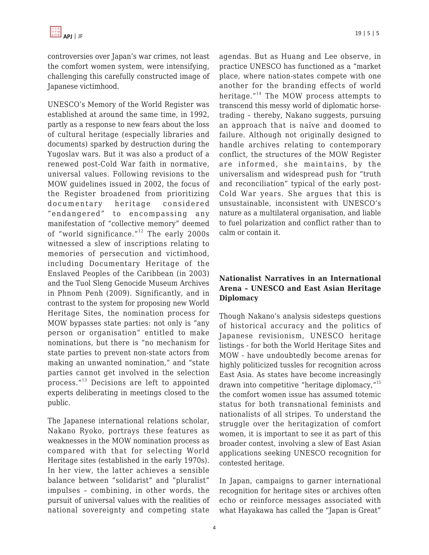controversies over Japan's war crimes, not least the comfort women system, were intensifying, challenging this carefully constructed image of Japanese victimhood.

UNESCO's Memory of the World Register was established at around the same time, in 1992, partly as a response to new fears about the loss of cultural heritage (especially libraries and documents) sparked by destruction during the Yugoslav wars. But it was also a product of a renewed post-Cold War faith in normative, universal values. Following revisions to the MOW guidelines issued in 2002, the focus of the Register broadened from prioritizing documentary heritage considered "endangered" to encompassing any manifestation of "collective memory" deemed of "world significance."<sup>12</sup> The early 2000s witnessed a slew of inscriptions relating to memories of persecution and victimhood, including Documentary Heritage of the Enslaved Peoples of the Caribbean (in 2003) and the Tuol Sleng Genocide Museum Archives in Phnom Penh (2009). Significantly, and in contrast to the system for proposing new World Heritage Sites, the nomination process for MOW bypasses state parties: not only is "any person or organisation" entitled to make nominations, but there is "no mechanism for state parties to prevent non-state actors from making an unwanted nomination," and "state parties cannot get involved in the selection process."<sup>13</sup> Decisions are left to appointed experts deliberating in meetings closed to the public.

The Japanese international relations scholar, Nakano Ryoko, portrays these features as weaknesses in the MOW nomination process as compared with that for selecting World Heritage sites (established in the early 1970s). In her view, the latter achieves a sensible balance between "solidarist" and "pluralist" impulses – combining, in other words, the pursuit of universal values with the realities of national sovereignty and competing state agendas. But as Huang and Lee observe, in practice UNESCO has functioned as a "market place, where nation-states compete with one another for the branding effects of world heritage."<sup>14</sup> The MOW process attempts to transcend this messy world of diplomatic horsetrading – thereby, Nakano suggests, pursuing an approach that is naïve and doomed to failure. Although not originally designed to handle archives relating to contemporary conflict, the structures of the MOW Register are informed, she maintains, by the universalism and widespread push for "truth and reconciliation" typical of the early post-Cold War years. She argues that this is unsustainable, inconsistent with UNESCO's nature as a multilateral organisation, and liable to fuel polarization and conflict rather than to calm or contain it.

## **Nationalist Narratives in an International Arena – UNESCO and East Asian Heritage Diplomacy**

Though Nakano's analysis sidesteps questions of historical accuracy and the politics of Japanese revisionism, UNESCO heritage listings - for both the World Heritage Sites and MOW - have undoubtedly become arenas for highly politicized tussles for recognition across East Asia. As states have become increasingly drawn into competitive "heritage diplomacy,"<sup>15</sup> the comfort women issue has assumed totemic status for both transnational feminists and nationalists of all stripes. To understand the struggle over the heritagization of comfort women, it is important to see it as part of this broader contest, involving a slew of East Asian applications seeking UNESCO recognition for contested heritage.

In Japan, campaigns to garner international recognition for heritage sites or archives often echo or reinforce messages associated with what Hayakawa has called the "Japan is Great"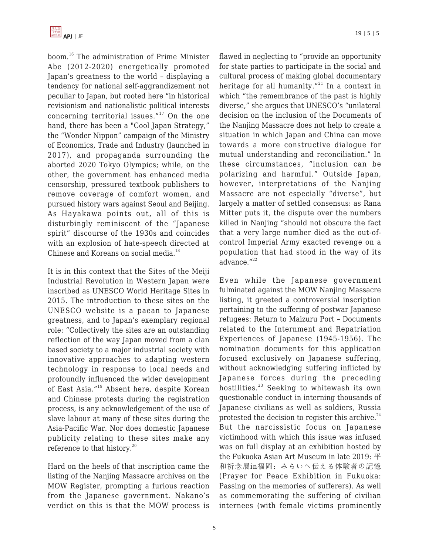boom.<sup>16</sup> The administration of Prime Minister Abe (2012-2020) energetically promoted Japan's greatness to the world – displaying a tendency for national self-aggrandizement not peculiar to Japan, but rooted here "in historical revisionism and nationalistic political interests concerning territorial issues."<sup>17</sup> On the one hand, there has been a "Cool Japan Strategy," the "Wonder Nippon" campaign of the Ministry of Economics, Trade and Industry (launched in 2017), and propaganda surrounding the aborted 2020 Tokyo Olympics; while, on the other, the government has enhanced media censorship, pressured textbook publishers to remove coverage of comfort women, and pursued history wars against Seoul and Beijing. As Hayakawa points out, all of this is disturbingly reminiscent of the "Japanese spirit" discourse of the 1930s and coincides with an explosion of hate-speech directed at Chinese and Koreans on social media.<sup>18</sup>

It is in this context that the Sites of the Meiji Industrial Revolution in Western Japan were inscribed as UNESCO World Heritage Sites in 2015. The introduction to these sites on the UNESCO website is a paean to Japanese greatness, and to Japan's exemplary regional role: "Collectively the sites are an outstanding reflection of the way Japan moved from a clan based society to a major industrial society with innovative approaches to adapting western technology in response to local needs and profoundly influenced the wider development of East Asia."<sup>19</sup> Absent here, despite Korean and Chinese protests during the registration process, is any acknowledgement of the use of slave labour at many of these sites during the Asia-Pacific War. Nor does domestic Japanese publicity relating to these sites make any reference to that history.<sup>20</sup>

Hard on the heels of that inscription came the listing of the Nanjing Massacre archives on the MOW Register, prompting a furious reaction from the Japanese government. Nakano's verdict on this is that the MOW process is flawed in neglecting to "provide an opportunity for state parties to participate in the social and cultural process of making global documentary heritage for all humanity. $12^{21}$  In a context in which "the remembrance of the past is highly diverse," she argues that UNESCO's "unilateral decision on the inclusion of the Documents of the Nanjing Massacre does not help to create a situation in which Japan and China can move towards a more constructive dialogue for mutual understanding and reconciliation." In these circumstances, "inclusion can be polarizing and harmful." Outside Japan, however, interpretations of the Nanjing Massacre are not especially "diverse", but largely a matter of settled consensus: as Rana Mitter puts it, the dispute over the numbers killed in Nanjing "should not obscure the fact that a very large number died as the out-ofcontrol Imperial Army exacted revenge on a population that had stood in the way of its advance."<sup>22</sup>

Even while the Japanese government fulminated against the MOW Nanjing Massacre listing, it greeted a controversial inscription pertaining to the suffering of postwar Japanese refugees: Return to Maizuru Port – Documents related to the Internment and Repatriation Experiences of Japanese (1945-1956). The nomination documents for this application focused exclusively on Japanese suffering, without acknowledging suffering inflicted by Japanese forces during the preceding hostilities.<sup>23</sup> Seeking to whitewash its own questionable conduct in interning thousands of Japanese civilians as well as soldiers, Russia protested the decision to register this archive. $^{24}$ But the narcissistic focus on Japanese victimhood with which this issue was infused was on full display at an exhibition hosted by the Fukuoka Asian Art Museum in late 2019: 平 和祈念展in福岡:みらいへ伝える体験者の記憶 (Prayer for Peace Exhibition in Fukuoka: Passing on the memories of sufferers). As well as commemorating the suffering of civilian internees (with female victims prominently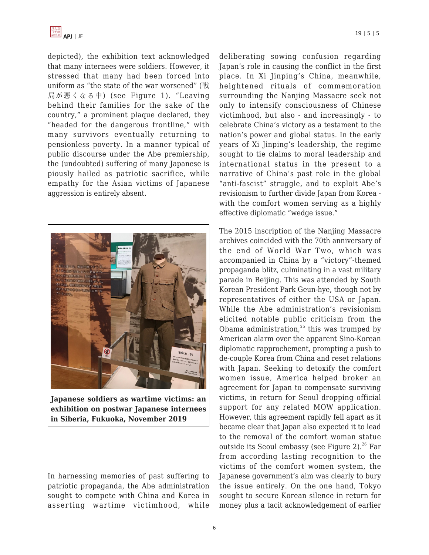

depicted), the exhibition text acknowledged that many internees were soldiers. However, it stressed that many had been forced into uniform as "the state of the war worsened" (戦 局が悪くなる中) (see Figure 1). "Leaving behind their families for the sake of the country," a prominent plaque declared, they "headed for the dangerous frontline," with many survivors eventually returning to pensionless poverty. In a manner typical of public discourse under the Abe premiership, the (undoubted) suffering of many Japanese is piously hailed as patriotic sacrifice, while empathy for the Asian victims of Japanese aggression is entirely absent.



**Japanese soldiers as wartime victims: an exhibition on postwar Japanese internees in Siberia, Fukuoka, November 2019**

In harnessing memories of past suffering to patriotic propaganda, the Abe administration sought to compete with China and Korea in asserting wartime victimhood, while deliberating sowing confusion regarding Japan's role in causing the conflict in the first place. In Xi Jinping's China, meanwhile, heightened rituals of commemoration surrounding the Nanjing Massacre seek not only to intensify consciousness of Chinese victimhood, but also - and increasingly - to celebrate China's victory as a testament to the nation's power and global status. In the early years of Xi Jinping's leadership, the regime sought to tie claims to moral leadership and international status in the present to a narrative of China's past role in the global "anti-fascist" struggle, and to exploit Abe's revisionism to further divide Japan from Korea with the comfort women serving as a highly effective diplomatic "wedge issue."

The 2015 inscription of the Nanjing Massacre archives coincided with the 70th anniversary of the end of World War Two, which was accompanied in China by a "victory"-themed propaganda blitz, culminating in a vast military parade in Beijing. This was attended by South Korean President Park Geun-hye, though not by representatives of either the USA or Japan. While the Abe administration's revisionism elicited notable public criticism from the Obama administration, $25$  this was trumped by American alarm over the apparent Sino-Korean diplomatic rapprochement, prompting a push to de-couple Korea from China and reset relations with Japan. Seeking to detoxify the comfort women issue, America helped broker an agreement for Japan to compensate surviving victims, in return for Seoul dropping official support for any related MOW application. However, this agreement rapidly fell apart as it became clear that Japan also expected it to lead to the removal of the comfort woman statue outside its Seoul embassy (see Figure 2). $26$  Far from according lasting recognition to the victims of the comfort women system, the Japanese government's aim was clearly to bury the issue entirely. On the one hand, Tokyo sought to secure Korean silence in return for money plus a tacit acknowledgement of earlier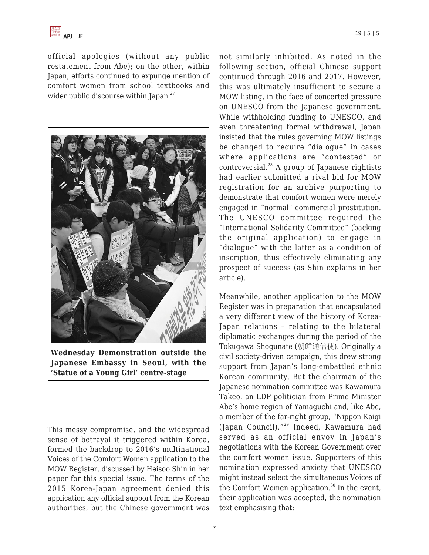

official apologies (without any public restatement from Abe); on the other, within Japan, efforts continued to expunge mention of comfort women from school textbooks and wider public discourse within Japan. $27$ 



**Wednesday Demonstration outside the Japanese Embassy in Seoul, with the 'Statue of a Young Girl' centre-stage**

This messy compromise, and the widespread sense of betrayal it triggered within Korea, formed the backdrop to 2016's multinational Voices of the Comfort Women application to the MOW Register, discussed by Heisoo Shin in her paper for this special issue. The terms of the 2015 Korea-Japan agreement denied this application any official support from the Korean authorities, but the Chinese government was not similarly inhibited. As noted in the following section, official Chinese support continued through 2016 and 2017. However, this was ultimately insufficient to secure a MOW listing, in the face of concerted pressure on UNESCO from the Japanese government. While withholding funding to UNESCO, and even threatening formal withdrawal, Japan insisted that the rules governing MOW listings be changed to require "dialogue" in cases where applications are "contested" or controversial. $^{28}$  A group of Japanese rightists had earlier submitted a rival bid for MOW registration for an archive purporting to demonstrate that comfort women were merely engaged in "normal" commercial prostitution. The UNESCO committee required the "International Solidarity Committee" (backing the original application) to engage in "dialogue" with the latter as a condition of inscription, thus effectively eliminating any prospect of success (as Shin explains in her article).

Meanwhile, another application to the MOW Register was in preparation that encapsulated a very different view of the history of Korea-Japan relations – relating to the bilateral diplomatic exchanges during the period of the Tokugawa Shogunate (朝鮮通信使). Originally a civil society-driven campaign, this drew strong support from Japan's long-embattled ethnic Korean community. But the chairman of the Japanese nomination committee was Kawamura Takeo, an LDP politician from Prime Minister Abe's home region of Yamaguchi and, like Abe, a member of the far-right group, "Nippon Kaigi (Japan Council)."<sup>29</sup> Indeed, Kawamura had served as an official envoy in Japan's negotiations with the Korean Government over the comfort women issue. Supporters of this nomination expressed anxiety that UNESCO might instead select the simultaneous Voices of the Comfort Women application. $30 \text{ In the event}$ , their application was accepted, the nomination text emphasising that: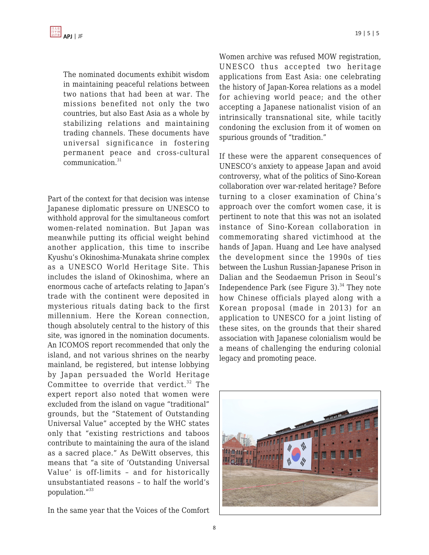The nominated documents exhibit wisdom in maintaining peaceful relations between two nations that had been at war. The missions benefited not only the two countries, but also East Asia as a whole by stabilizing relations and maintaining trading channels. These documents have universal significance in fostering permanent peace and cross-cultural communication.<sup>31</sup>

Part of the context for that decision was intense Japanese diplomatic pressure on UNESCO to withhold approval for the simultaneous comfort women-related nomination. But Japan was meanwhile putting its official weight behind another application, this time to inscribe Kyushu's Okinoshima-Munakata shrine complex as a UNESCO World Heritage Site. This includes the island of Okinoshima, where an enormous cache of artefacts relating to Japan's trade with the continent were deposited in mysterious rituals dating back to the first millennium. Here the Korean connection, though absolutely central to the history of this site, was ignored in the nomination documents. An ICOMOS report recommended that only the island, and not various shrines on the nearby mainland, be registered, but intense lobbying by Japan persuaded the World Heritage Committee to override that verdict.<sup>32</sup> The expert report also noted that women were excluded from the island on vague "traditional" grounds, but the "Statement of Outstanding Universal Value" accepted by the WHC states only that "existing restrictions and taboos contribute to maintaining the aura of the island as a sacred place." As DeWitt observes, this means that "a site of 'Outstanding Universal Value' is off-limits – and for historically unsubstantiated reasons – to half the world's population."<sup>33</sup>

In the same year that the Voices of the Comfort

Women archive was refused MOW registration, UNESCO thus accepted two heritage applications from East Asia: one celebrating the history of Japan-Korea relations as a model for achieving world peace; and the other accepting a Japanese nationalist vision of an intrinsically transnational site, while tacitly condoning the exclusion from it of women on spurious grounds of "tradition."

If these were the apparent consequences of UNESCO's anxiety to appease Japan and avoid controversy, what of the politics of Sino-Korean collaboration over war-related heritage? Before turning to a closer examination of China's approach over the comfort women case, it is pertinent to note that this was not an isolated instance of Sino-Korean collaboration in commemorating shared victimhood at the hands of Japan. Huang and Lee have analysed the development since the 1990s of ties between the Lushun Russian-Japanese Prison in Dalian and the Seodaemun Prison in Seoul's Independence Park (see Figure 3). $34$  They note how Chinese officials played along with a Korean proposal (made in 2013) for an application to UNESCO for a joint listing of these sites, on the grounds that their shared association with Japanese colonialism would be a means of challenging the enduring colonial legacy and promoting peace.

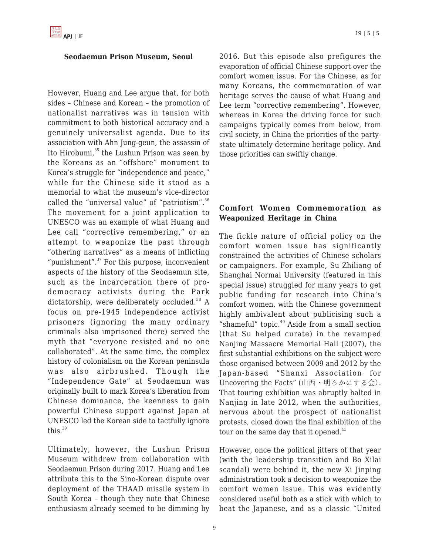#### **Seodaemun Prison Museum, Seoul**

However, Huang and Lee argue that, for both sides – Chinese and Korean – the promotion of nationalist narratives was in tension with commitment to both historical accuracy and a genuinely universalist agenda. Due to its association with Ahn Jung-geun, the assassin of Ito Hirobumi,<sup>35</sup> the Lushun Prison was seen by the Koreans as an "offshore" monument to Korea's struggle for "independence and peace," while for the Chinese side it stood as a memorial to what the museum's vice-director called the "universal value" of "patriotism".<sup>36</sup> The movement for a joint application to UNESCO was an example of what Huang and Lee call "corrective remembering," or an attempt to weaponize the past through "othering narratives" as a means of inflicting "punishment". $37$  For this purpose, inconvenient aspects of the history of the Seodaemun site, such as the incarceration there of prodemocracy activists during the Park dictatorship, were deliberately occluded.<sup>38</sup> A focus on pre-1945 independence activist prisoners (ignoring the many ordinary criminals also imprisoned there) served the myth that "everyone resisted and no one collaborated". At the same time, the complex history of colonialism on the Korean peninsula was also airbrushed. Though the "Independence Gate" at Seodaemun was originally built to mark Korea's liberation from Chinese dominance, the keenness to gain powerful Chinese support against Japan at UNESCO led the Korean side to tactfully ignore this. $39$ 

Ultimately, however, the Lushun Prison Museum withdrew from collaboration with Seodaemun Prison during 2017. Huang and Lee attribute this to the Sino-Korean dispute over deployment of the THAAD missile system in South Korea – though they note that Chinese enthusiasm already seemed to be dimming by 2016. But this episode also prefigures the evaporation of official Chinese support over the comfort women issue. For the Chinese, as for many Koreans, the commemoration of war heritage serves the cause of what Huang and Lee term "corrective remembering". However, whereas in Korea the driving force for such campaigns typically comes from below, from civil society, in China the priorities of the partystate ultimately determine heritage policy. And those priorities can swiftly change.

## **Comfort Women Commemoration as Weaponized Heritage in China**

The fickle nature of official policy on the comfort women issue has significantly constrained the activities of Chinese scholars or campaigners. For example, Su Zhiliang of Shanghai Normal University (featured in this special issue) struggled for many years to get public funding for research into China's comfort women, with the Chinese government highly ambivalent about publicising such a "shameful" topic. $40$  Aside from a small section (that Su helped curate) in the revamped Nanjing Massacre Memorial Hall (2007), the first substantial exhibitions on the subject were those organised between 2009 and 2012 by the Japan-based "Shanxi Association for Uncovering the Facts" (山西·明らかにする会). That touring exhibition was abruptly halted in Nanjing in late 2012, when the authorities, nervous about the prospect of nationalist protests, closed down the final exhibition of the tour on the same day that it opened.<sup>41</sup>

However, once the political jitters of that year (with the leadership transition and Bo Xilai scandal) were behind it, the new Xi Jinping administration took a decision to weaponize the comfort women issue. This was evidently considered useful both as a stick with which to beat the Japanese, and as a classic "United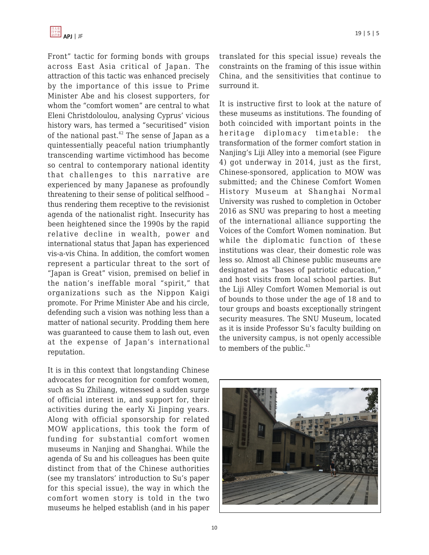Front" tactic for forming bonds with groups across East Asia critical of Japan. The attraction of this tactic was enhanced precisely by the importance of this issue to Prime Minister Abe and his closest supporters, for whom the "comfort women" are central to what Eleni Christdoloulou, analysing Cyprus' vicious history wars, has termed a "securitised" vision of the national past. $42$  The sense of Japan as a quintessentially peaceful nation triumphantly transcending wartime victimhood has become so central to contemporary national identity that challenges to this narrative are experienced by many Japanese as profoundly threatening to their sense of political selfhood – thus rendering them receptive to the revisionist agenda of the nationalist right. Insecurity has been heightened since the 1990s by the rapid relative decline in wealth, power and international status that Japan has experienced vis-a-vis China. In addition, the comfort women represent a particular threat to the sort of "Japan is Great" vision, premised on belief in the nation's ineffable moral "spirit," that organizations such as the Nippon Kaigi promote. For Prime Minister Abe and his circle, defending such a vision was nothing less than a matter of national security. Prodding them here was guaranteed to cause them to lash out, even at the expense of Japan's international reputation.

It is in this context that longstanding Chinese advocates for recognition for comfort women, such as Su Zhiliang, witnessed a sudden surge of official interest in, and support for, their activities during the early Xi Jinping years. Along with official sponsorship for related MOW applications, this took the form of funding for substantial comfort women museums in Nanjing and Shanghai. While the agenda of Su and his colleagues has been quite distinct from that of the Chinese authorities (see my translators' introduction to Su's paper for this special issue), the way in which the comfort women story is told in the two museums he helped establish (and in his paper

translated for this special issue) reveals the constraints on the framing of this issue within China, and the sensitivities that continue to surround it.

It is instructive first to look at the nature of these museums as institutions. The founding of both coincided with important points in the heritage diplomacy timetable: the transformation of the former comfort station in Nanjing's Liji Alley into a memorial (see Figure 4) got underway in 2014, just as the first, Chinese-sponsored, application to MOW was submitted; and the Chinese Comfort Women History Museum at Shanghai Normal University was rushed to completion in October 2016 as SNU was preparing to host a meeting of the international alliance supporting the Voices of the Comfort Women nomination. But while the diplomatic function of these institutions was clear, their domestic role was less so. Almost all Chinese public museums are designated as "bases of patriotic education," and host visits from local school parties. But the Liji Alley Comfort Women Memorial is out of bounds to those under the age of 18 and to tour groups and boasts exceptionally stringent security measures. The SNU Museum, located as it is inside Professor Su's faculty building on the university campus, is not openly accessible to members of the public. $43$ 

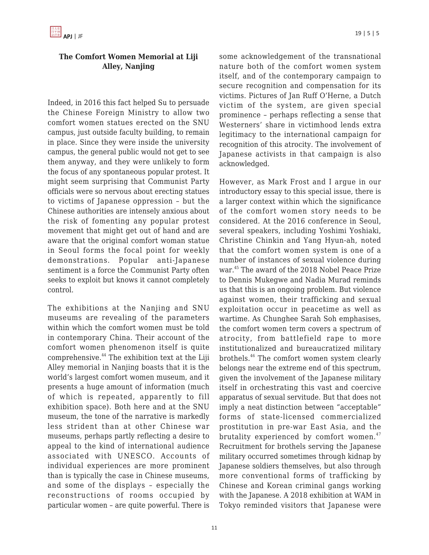## **The Comfort Women Memorial at Liji Alley, Nanjing**

Indeed, in 2016 this fact helped Su to persuade the Chinese Foreign Ministry to allow two comfort women statues erected on the SNU campus, just outside faculty building, to remain in place. Since they were inside the university campus, the general public would not get to see them anyway, and they were unlikely to form the focus of any spontaneous popular protest. It might seem surprising that Communist Party officials were so nervous about erecting statues to victims of Japanese oppression – but the Chinese authorities are intensely anxious about the risk of fomenting any popular protest movement that might get out of hand and are aware that the original comfort woman statue in Seoul forms the focal point for weekly demonstrations. Popular anti-Japanese sentiment is a force the Communist Party often seeks to exploit but knows it cannot completely control.

The exhibitions at the Nanjing and SNU museums are revealing of the parameters within which the comfort women must be told in contemporary China. Their account of the comfort women phenomenon itself is quite comprehensive.<sup>44</sup> The exhibition text at the Liji Alley memorial in Nanjing boasts that it is the world's largest comfort women museum, and it presents a huge amount of information (much of which is repeated, apparently to fill exhibition space). Both here and at the SNU museum, the tone of the narrative is markedly less strident than at other Chinese war museums, perhaps partly reflecting a desire to appeal to the kind of international audience associated with UNESCO. Accounts of individual experiences are more prominent than is typically the case in Chinese museums, and some of the displays – especially the reconstructions of rooms occupied by particular women – are quite powerful. There is some acknowledgement of the transnational nature both of the comfort women system itself, and of the contemporary campaign to secure recognition and compensation for its victims. Pictures of Jan Ruff O'Herne, a Dutch victim of the system, are given special prominence – perhaps reflecting a sense that Westerners' share in victimhood lends extra legitimacy to the international campaign for recognition of this atrocity. The involvement of Japanese activists in that campaign is also acknowledged.

However, as Mark Frost and I argue in our introductory essay to this special issue, there is a larger context within which the significance of the comfort women story needs to be considered. At the 2016 conference in Seoul, several speakers, including Yoshimi Yoshiaki, Christine Chinkin and Yang Hyun-ah, noted that the comfort women system is one of a number of instances of sexual violence during war.<sup>45</sup> The award of the 2018 Nobel Peace Prize to Dennis Mukegwe and Nadia Murad reminds us that this is an ongoing problem. But violence against women, their trafficking and sexual exploitation occur in peacetime as well as wartime. As Chunghee Sarah Soh emphasises, the comfort women term covers a spectrum of atrocity, from battlefield rape to more institutionalized and bureaucratized military brothels.<sup>46</sup> The comfort women system clearly belongs near the extreme end of this spectrum, given the involvement of the Japanese military itself in orchestrating this vast and coercive apparatus of sexual servitude. But that does not imply a neat distinction between "acceptable" forms of state-licensed commercialized prostitution in pre-war East Asia, and the brutality experienced by comfort women. $47$ Recruitment for brothels serving the Japanese military occurred sometimes through kidnap by Japanese soldiers themselves, but also through more conventional forms of trafficking by Chinese and Korean criminal gangs working with the Japanese. A 2018 exhibition at WAM in Tokyo reminded visitors that Japanese were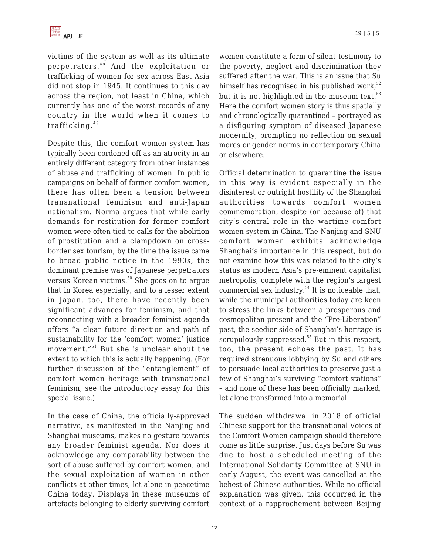victims of the system as well as its ultimate perpetrators.<sup>48</sup> And the exploitation or trafficking of women for sex across East Asia did not stop in 1945. It continues to this day across the region, not least in China, which currently has one of the worst records of any country in the world when it comes to trafficking. $49$ 

Despite this, the comfort women system has typically been cordoned off as an atrocity in an entirely different category from other instances of abuse and trafficking of women. In public campaigns on behalf of former comfort women, there has often been a tension between transnational feminism and anti-Japan nationalism. Norma argues that while early demands for restitution for former comfort women were often tied to calls for the abolition of prostitution and a clampdown on crossborder sex tourism, by the time the issue came to broad public notice in the 1990s, the dominant premise was of Japanese perpetrators versus Korean victims.<sup>50</sup> She goes on to argue that in Korea especially, and to a lesser extent in Japan, too, there have recently been significant advances for feminism, and that reconnecting with a broader feminist agenda offers "a clear future direction and path of sustainability for the 'comfort women' justice movement."<sup>51</sup> But she is unclear about the extent to which this is actually happening. (For further discussion of the "entanglement" of comfort women heritage with transnational feminism, see the introductory essay for this special issue.)

In the case of China, the officially-approved narrative, as manifested in the Nanjing and Shanghai museums, makes no gesture towards any broader feminist agenda. Nor does it acknowledge any comparability between the sort of abuse suffered by comfort women, and the sexual exploitation of women in other conflicts at other times, let alone in peacetime China today. Displays in these museums of artefacts belonging to elderly surviving comfort women constitute a form of silent testimony to the poverty, neglect and discrimination they suffered after the war. This is an issue that Su himself has recognised in his published work, $52$ but it is not highlighted in the museum text. $53$ Here the comfort women story is thus spatially and chronologically quarantined – portrayed as a disfiguring symptom of diseased Japanese modernity, prompting no reflection on sexual mores or gender norms in contemporary China or elsewhere.

Official determination to quarantine the issue in this way is evident especially in the disinterest or outright hostility of the Shanghai authorities towards comfort women commemoration, despite (or because of) that city's central role in the wartime comfort women system in China. The Nanjing and SNU comfort women exhibits acknowledge Shanghai's importance in this respect, but do not examine how this was related to the city's status as modern Asia's pre-eminent capitalist metropolis, complete with the region's largest commercial sex industry.<sup>54</sup> It is noticeable that, while the municipal authorities today are keen to stress the links between a prosperous and cosmopolitan present and the "Pre-Liberation" past, the seedier side of Shanghai's heritage is scrupulously suppressed. $55$  But in this respect, too, the present echoes the past. It has required strenuous lobbying by Su and others to persuade local authorities to preserve just a few of Shanghai's surviving "comfort stations" – and none of these has been officially marked, let alone transformed into a memorial.

The sudden withdrawal in 2018 of official Chinese support for the transnational Voices of the Comfort Women campaign should therefore come as little surprise. Just days before Su was due to host a scheduled meeting of the International Solidarity Committee at SNU in early August, the event was cancelled at the behest of Chinese authorities. While no official explanation was given, this occurred in the context of a rapprochement between Beijing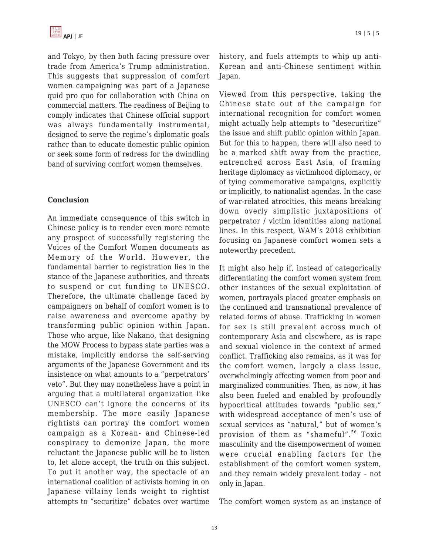and Tokyo, by then both facing pressure over trade from America's Trump administration. This suggests that suppression of comfort women campaigning was part of a Japanese quid pro quo for collaboration with China on commercial matters. The readiness of Beijing to comply indicates that Chinese official support was always fundamentally instrumental, designed to serve the regime's diplomatic goals rather than to educate domestic public opinion or seek some form of redress for the dwindling band of surviving comfort women themselves.

### **Conclusion**

An immediate consequence of this switch in Chinese policy is to render even more remote any prospect of successfully registering the Voices of the Comfort Women documents as Memory of the World. However, the fundamental barrier to registration lies in the stance of the Japanese authorities, and threats to suspend or cut funding to UNESCO. Therefore, the ultimate challenge faced by campaigners on behalf of comfort women is to raise awareness and overcome apathy by transforming public opinion within Japan. Those who argue, like Nakano, that designing the MOW Process to bypass state parties was a mistake, implicitly endorse the self-serving arguments of the Japanese Government and its insistence on what amounts to a "perpetrators' veto". But they may nonetheless have a point in arguing that a multilateral organization like UNESCO can't ignore the concerns of its membership. The more easily Japanese rightists can portray the comfort women campaign as a Korean- and Chinese-led conspiracy to demonize Japan, the more reluctant the Japanese public will be to listen to, let alone accept, the truth on this subject. To put it another way, the spectacle of an international coalition of activists homing in on Japanese villainy lends weight to rightist attempts to "securitize" debates over wartime

history, and fuels attempts to whip up anti-Korean and anti-Chinese sentiment within Japan.

Viewed from this perspective, taking the Chinese state out of the campaign for international recognition for comfort women might actually help attempts to "desecuritize" the issue and shift public opinion within Japan. But for this to happen, there will also need to be a marked shift away from the practice, entrenched across East Asia, of framing heritage diplomacy as victimhood diplomacy, or of tying commemorative campaigns, explicitly or implicitly, to nationalist agendas. In the case of war-related atrocities, this means breaking down overly simplistic juxtapositions of perpetrator / victim identities along national lines. In this respect, WAM's 2018 exhibition focusing on Japanese comfort women sets a noteworthy precedent.

It might also help if, instead of categorically differentiating the comfort women system from other instances of the sexual exploitation of women, portrayals placed greater emphasis on the continued and transnational prevalence of related forms of abuse. Trafficking in women for sex is still prevalent across much of contemporary Asia and elsewhere, as is rape and sexual violence in the context of armed conflict. Trafficking also remains, as it was for the comfort women, largely a class issue, overwhelmingly affecting women from poor and marginalized communities. Then, as now, it has also been fueled and enabled by profoundly hypocritical attitudes towards "public sex," with widespread acceptance of men's use of sexual services as "natural," but of women's provision of them as "shameful".<sup>56</sup> Toxic masculinity and the disempowerment of women were crucial enabling factors for the establishment of the comfort women system, and they remain widely prevalent today – not only in Japan.

The comfort women system as an instance of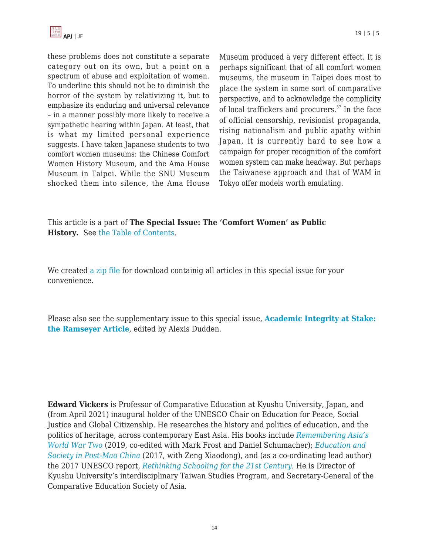

these problems does not constitute a separate category out on its own, but a point on a spectrum of abuse and exploitation of women. To underline this should not be to diminish the horror of the system by relativizing it, but to emphasize its enduring and universal relevance – in a manner possibly more likely to receive a sympathetic hearing within Japan. At least, that is what my limited personal experience suggests. I have taken Japanese students to two comfort women museums: the Chinese Comfort Women History Museum, and the Ama House Museum in Taipei. While the SNU Museum shocked them into silence, the Ama House Museum produced a very different effect. It is perhaps significant that of all comfort women museums, the museum in Taipei does most to place the system in some sort of comparative perspective, and to acknowledge the complicity of local traffickers and procurers.<sup>57</sup> In the face of official censorship, revisionist propaganda, rising nationalism and public apathy within Japan, it is currently hard to see how a campaign for proper recognition of the comfort women system can make headway. But perhaps the Taiwanese approach and that of WAM in Tokyo offer models worth emulating.

This article is a part of **The Special Issue: The 'Comfort Women' as Public History.** See [the Table of Contents](https://apjjf.org/2021/5/ToC.html).

We created [a zip file](https://apjjf.org/data/Comfort_Women_special.tar.gz) for download containig all articles in this special issue for your convenience.

Please also see the supplementary issue to this special issue, **[Academic Integrity at Stake:](https://apjjf.org/2021/5/ToC2.html) [the Ramseyer Article](https://apjjf.org/2021/5/ToC2.html)**, edited by Alexis Dudden.

**Edward Vickers** is Professor of Comparative Education at Kyushu University, Japan, and (from April 2021) inaugural holder of the UNESCO Chair on Education for Peace, Social Justice and Global Citizenship. He researches the history and politics of education, and the politics of heritage, across contemporary East Asia. His books include *[Remembering Asia's](https://www.amazon.com/Remembering-Asias-World-War-Modern/dp/0367111322/?tag=theasipacjo0b-20) [World War Two](https://www.amazon.com/Remembering-Asias-World-War-Modern/dp/0367111322/?tag=theasipacjo0b-20)* (2019, co-edited with Mark Frost and Daniel Schumacher); *[Education and](https://www.amazon.com/Education-Society-Post-Mao-Routledge-Studies-ebook/dp/B072JBLCY6/?tag=theasipacjo0b-20) [Society in Post-Mao China](https://www.amazon.com/Education-Society-Post-Mao-Routledge-Studies-ebook/dp/B072JBLCY6/?tag=theasipacjo0b-20)* (2017, with Zeng Xiaodong), and (as a co-ordinating lead author) the 2017 UNESCO report, *[Rethinking Schooling for the 21st Century](https://unesdoc.unesco.org/ark:/48223/pf0000260568_eng)*. He is Director of Kyushu University's interdisciplinary Taiwan Studies Program, and Secretary-General of the Comparative Education Society of Asia.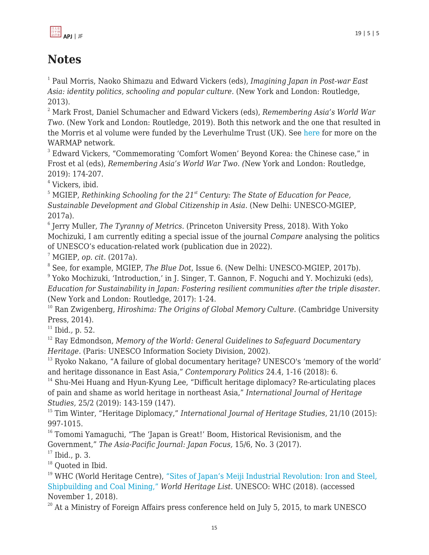

# **Notes**

1 Paul Morris, Naoko Shimazu and Edward Vickers (eds), *Imagining Japan in Post-war East Asia: identity politics, schooling and popular culture.* (New York and London: Routledge, 2013).

<sup>2</sup> Mark Frost, Daniel Schumacher and Edward Vickers (eds), *Remembering Asia's World War Two.* (New York and London: Routledge, 2019). Both this network and the one that resulted in the Morris et al volume were funded by the Leverhulme Trust (UK). See [here](http://www.warinasia.com) for more on the WARMAP network.

<sup>3</sup> Edward Vickers, "Commemorating 'Comfort Women' Beyond Korea: the Chinese case," in Frost et al (eds), *Remembering Asia's World War Two. (*New York and London: Routledge, 2019): 174-207.

4 Vickers, ibid.

<sup>5</sup> MGIEP, *Rethinking Schooling for the 21<sup>st</sup> Century: The State of Education for Peace, Sustainable Development and Global Citizenship in Asia.* (New Delhi: UNESCO-MGIEP, 2017a).

6 Jerry Muller, *The Tyranny of Metrics.* (Princeton University Press, 2018). With Yoko Mochizuki, I am currently editing a special issue of the journal *Compare* analysing the politics of UNESCO's education-related work (publication due in 2022).

<sup>7</sup> MGIEP, *op. cit.* (2017a).

8 See, for example, MGIEP, *The Blue Dot*, Issue 6. (New Delhi: UNESCO-MGIEP, 2017b).

<sup>9</sup> Yoko Mochizuki, 'Introduction,' in J. Singer, T. Gannon, F. Noguchi and Y. Mochizuki (eds), *Education for Sustainability in Japan: Fostering resilient communities after the triple disaster.* (New York and London: Routledge, 2017): 1-24.

<sup>10</sup> Ran Zwigenberg, *Hiroshima: The Origins of Global Memory Culture.* (Cambridge University Press, 2014).

<sup>11</sup> Ibid*.,* p. 52.

<sup>12</sup> Ray Edmondson, *Memory of the World: General Guidelines to Safeguard Documentary Heritage.* (Paris: UNESCO Information Society Division, 2002).

<sup>13</sup> Ryoko Nakano, "A failure of global documentary heritage? UNESCO's 'memory of the world' and heritage dissonance in East Asia," *Contemporary Politics* 24.4, 1-16 (2018): 6.

 $14$  Shu-Mei Huang and Hyun-Kyung Lee, "Difficult heritage diplomacy? Re-articulating places of pain and shame as world heritage in northeast Asia," *International Journal of Heritage Studies,* 25/2 (2019): 143-159 (147).

<sup>15</sup> Tim Winter, "Heritage Diplomacy," *International Journal of Heritage Studies*, 21/10 (2015): 997-1015.

<sup>16</sup> Tomomi Yamaguchi, "The 'Japan is Great!' Boom, Historical Revisionism, and the Government," *The Asia-Pacific Journal: Japan Focus,* 15/6, No. 3 (2017).

 $17$  Ibid., p. 3.

<sup>18</sup> Quoted in Ibid.

<sup>19</sup> WHC (World Heritage Centre), ["Sites of Japan's Meiji Industrial Revolution: Iron and Steel,](https://whc.unesco.org) [Shipbuilding and Coal Mining,"](https://whc.unesco.org) *World Heritage List.* UNESCO: WHC (2018). (accessed November 1, 2018).

 $20$  At a Ministry of Foreign Affairs press conference held on July 5, 2015, to mark UNESCO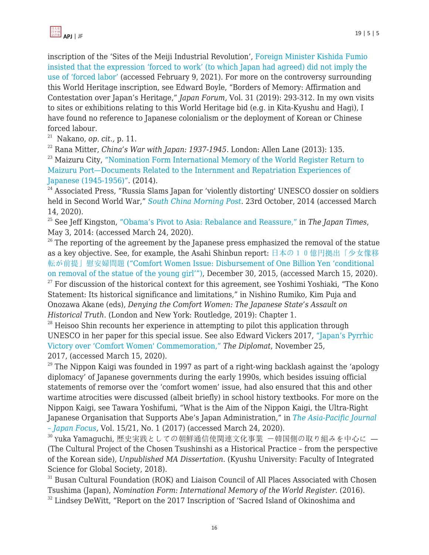inscription of the 'Sites of the Meiji Industrial Revolution', [Foreign Minister Kishida Fumio](https://www.mofa.go.jp/press/kaiken/kaiken4e_000181.html) [insisted that the expression 'forced to work' \(to which Japan had agreed\) did not imply the](https://www.mofa.go.jp/press/kaiken/kaiken4e_000181.html) [use of 'forced labor'](https://www.mofa.go.jp/press/kaiken/kaiken4e_000181.html) (accessed February 9, 2021). For more on the controversy surrounding this World Heritage inscription, see Edward Boyle, "Borders of Memory: Affirmation and Contestation over Japan's Heritage," *Japan Forum,* Vol. 31 (2019): 293-312. In my own visits to sites or exhibitions relating to this World Heritage bid (e.g. in Kita-Kyushu and Hagi), I have found no reference to Japanese colonialism or the deployment of Korean or Chinese forced labour.

<sup>21</sup> Nakano, *op. cit.,* p. 11.

<sup>22</sup> Rana Mitter, *China's War with Japan: 1937-1945.* London: Allen Lane (2013): 135.

<sup>23</sup> Maizuru City, ["Nomination Form International Memory of the World Register Return to](http://www.unesco.org/new/fileadmin/MULTIMEDIA/HQ/CI/CI/pdf/mow/japan_maizuru_e%20ng.pdf) [Maizuru Port—Documents Related to the Internment and Repatriation Experiences of](http://www.unesco.org/new/fileadmin/MULTIMEDIA/HQ/CI/CI/pdf/mow/japan_maizuru_e%20ng.pdf) [Japanese \(1945-1956\)".](http://www.unesco.org/new/fileadmin/MULTIMEDIA/HQ/CI/CI/pdf/mow/japan_maizuru_e%20ng.pdf) (2014).

 $24$  Associated Press, "Russia Slams Japan for 'violently distorting' UNESCO dossier on soldiers held in Second World War," *[South China Morning Post](http://www.scmp.com).* 23rd October, 2014 (accessed March 14, 2020).

<sup>25</sup> See Jeff Kingston, ["Obama's Pivot to Asia: Rebalance and Reassure,"](http://www.japantimes.co.jp) in *The Japan Times*, May 3, 2014: (accessed March 24, 2020).

 $26$  The reporting of the agreement by the Japanese press emphasized the removal of the statue as a key objective. See, for example, the Asahi Shinbun report: [日本の10億円拠出「少女像移](http://www.asahi.com) [転が前提」慰安婦問題](http://www.asahi.com) [\("Comfort Women Issue: Disbursement of One Billion Yen 'conditional](http://www.asahi.com) [on removal of the statue of the young girl'"\)](http://www.asahi.com), December 30, 2015, (accessed March 15, 2020).

 $27$  For discussion of the historical context for this agreement, see Yoshimi Yoshiaki, "The Kono Statement: Its historical significance and limitations," in Nishino Rumiko, Kim Puja and Onozawa Akane (eds), *Denying the Comfort Women: The Japanese State's Assault on Historical Truth.* (London and New York: Routledge, 2019): Chapter 1.

 $28$  Heisoo Shin recounts her experience in attempting to pilot this application through UNESCO in her paper for this special issue. See also Edward Vickers 2017, ["Japan's Pyrrhic](http://www.thediplomat.com) [Victory over 'Comfort Women' Commemoration,"](http://www.thediplomat.com) *The Diplomat*, November 25, 2017, (accessed March 15, 2020).

 $29$  The Nippon Kaigi was founded in 1997 as part of a right-wing backlash against the 'apology diplomacy' of Japanese governments during the early 1990s, which besides issuing official statements of remorse over the 'comfort women' issue, had also ensured that this and other wartime atrocities were discussed (albeit briefly) in school history textbooks. For more on the Nippon Kaigi, see Tawara Yoshifumi, "What is the Aim of the Nippon Kaigi, the Ultra-Right Japanese Organisation that Supports Abe's Japan Administration," in *[The Asia-Pacific Journal](http://www.apjjf.org) [– Japan Focus,](http://www.apjjf.org)* Vol. 15/21, No. 1 (2017) (accessed March 24, 2020).

<sup>30</sup> <sup>Y</sup>uka Yamaguchi, 歴史実践としての朝鮮通信使関連文化事業 ―韓国側の取り組みを中心に ― (The Cultural Project of the Chosen Tsushinshi as a Historical Practice – from the perspective of the Korean side), *Unpublished MA Dissertation.* (Kyushu University: Faculty of Integrated Science for Global Society, 2018).

<sup>31</sup> Busan Cultural Foundation (ROK) and Liaison Council of All Places Associated with Chosen Tsushima (Japan), *Nomination Form: International Memory of the World Register.* (2016).

<sup>32</sup> Lindsey DeWitt, "Report on the 2017 Inscription of 'Sacred Island of Okinoshima and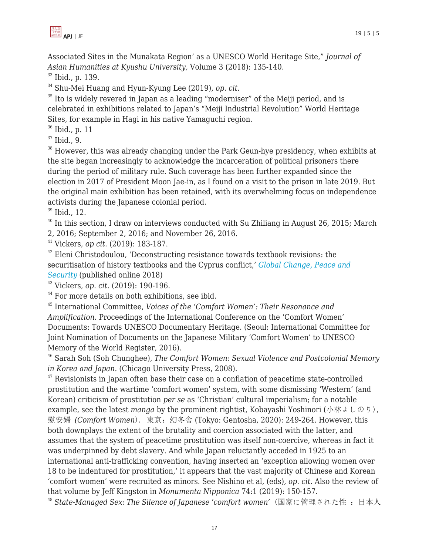

Associated Sites in the Munakata Region' as a UNESCO World Heritage Site," *Journal of Asian Humanities at Kyushu University,* Volume 3 (2018): 135-140.

<sup>33</sup> Ibid., p. 139.

<sup>34</sup> Shu-Mei Huang and Hyun-Kyung Lee (2019), *op. cit.*

 $35$  Ito is widely revered in Japan as a leading "moderniser" of the Meiji period, and is celebrated in exhibitions related to Japan's "Meiji Industrial Revolution" World Heritage Sites, for example in Hagi in his native Yamaguchi region.

 $36$  Ibid., p. 11

 $37$  Ibid., 9.

 $38$  However, this was already changing under the Park Geun-hye presidency, when exhibits at the site began increasingly to acknowledge the incarceration of political prisoners there during the period of military rule. Such coverage has been further expanded since the election in 2017 of President Moon Jae-in, as I found on a visit to the prison in late 2019. But the original main exhibition has been retained, with its overwhelming focus on independence activists during the Japanese colonial period.

<sup>39</sup> Ibid., 12.

 $40$  In this section, I draw on interviews conducted with Su Zhiliang in August 26, 2015; March 2, 2016; September 2, 2016; and November 26, 2016.

<sup>41</sup> Vickers, *op cit.* (2019): 183-187.

 $42$  Eleni Christodoulou, 'Deconstructing resistance towards textbook revisions: the securitisation of history textbooks and the Cyprus conflict,' *[Global Change, Peace and](https://doi.org/10.1080/14781158.2018.1453492)) [Security](https://doi.org/10.1080/14781158.2018.1453492))* (published online 2018)

<sup>43</sup> Vickers, *op. cit.* (2019): 190-196.

<sup>44</sup> For more details on both exhibitions, see ibid.

<sup>45</sup> International Committee, *Voices of the 'Comfort Women': Their Resonance and Amplification.* Proceedings of the International Conference on the 'Comfort Women' Documents: Towards UNESCO Documentary Heritage. (Seoul: International Committee for Joint Nomination of Documents on the Japanese Military 'Comfort Women' to UNESCO Memory of the World Register, 2016).

<sup>46</sup> Sarah Soh (Soh Chunghee), *The Comfort Women: Sexual Violence and Postcolonial Memory in Korea and Japan.* (Chicago University Press, 2008).

 $47$  Revisionists in Japan often base their case on a conflation of peacetime state-controlled prostitution and the wartime 'comfort women' system, with some dismissing 'Western' (and Korean) criticism of prostitution *per se* as 'Christian' cultural imperialism; for a notable example, see the latest *manga* by the prominent rightist, Kobayashi Yoshinori (小林ょしのり), 慰安婦 *(Comfort Women*). 東京:幻冬舎 (Tokyo: Gentosha, 2020): 249-264. However, this both downplays the extent of the brutality and coercion associated with the latter, and assumes that the system of peacetime prostitution was itself non-coercive, whereas in fact it was underpinned by debt slavery. And while Japan reluctantly acceded in 1925 to an international anti-trafficking convention, having inserted an 'exception allowing women over 18 to be indentured for prostitution,' it appears that the vast majority of Chinese and Korean 'comfort women' were recruited as minors. See Nishino et al, (eds), *op. cit*. Also the review of that volume by Jeff Kingston in *Monumenta Nipponica* 74:1 (2019): 150-157.

<sup>48</sup> State-Managed Sex: The Silence of Japanese 'comfort women' (国家に管理された性: 日本人